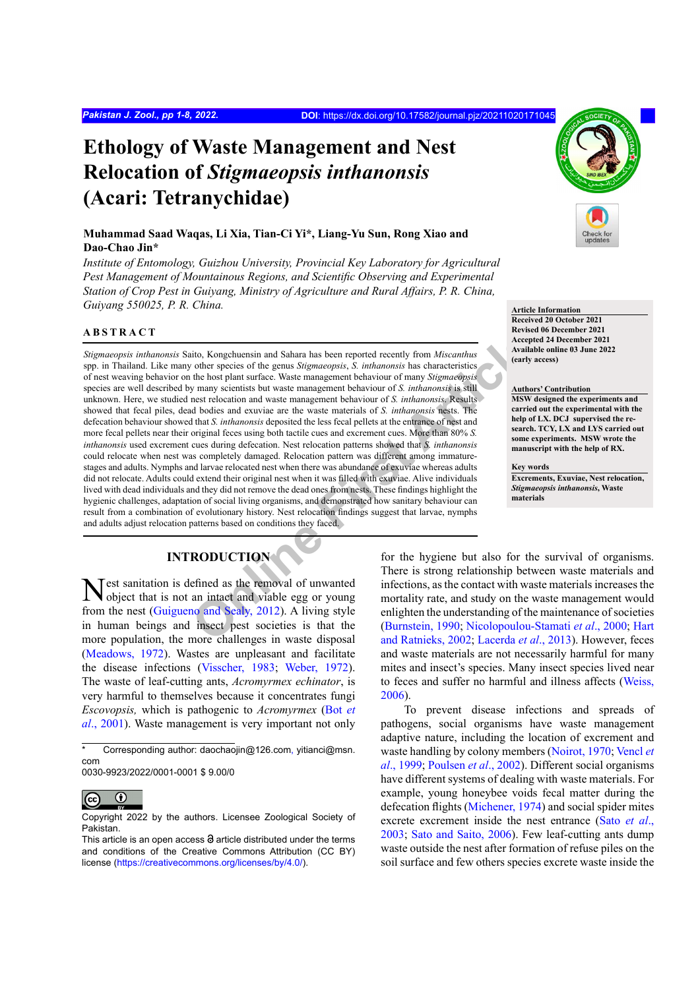# **Ethology of Waste Management and Nest Relocation of** *Stigmaeopsis inthanonsis* **(Acari: Tetranychidae)**

# **Muhammad Saad Waqas, Li Xia, Tian-Ci Yi\*, Liang-Yu Sun, Rong Xiao and Dao-Chao Jin\***

*Institute of Entomology, Guizhou University, Provincial Key Laboratory for Agricultural Pest Management of Mountainous Regions, and Scientific Observing and Experimental Station of Crop Pest in Guiyang, Ministry of Agriculture and Rural Affairs, P. R. China, Guiyang 550025, P. R. China.* **Article Information**

#### **ABSTRACT**

ito, Kongchuensin and Sahara has been reported recently from *Miscanthus*<br>
other species of the genus *Stigmacopsis*, *S. inthanonsis* has characteristics<br>
the host plant surface. Waste management behaviour of many *Stigma Stigmaeopsis inthanonsis* Saito, Kongchuensin and Sahara has been reported recently from *Miscanthus* spp. in Thailand. Like many other species of the genus *Stigmaeopsis*, *S. inthanonsis* has characteristics of nest weaving behavior on the host plant surface. Waste management behaviour of many *Stigmaeopsis* species are well described by many scientists but waste management behaviour of *S. inthanonsis* is still unknown. Here, we studied nest relocation and waste management behaviour of *S. inthanonsis*. Results showed that fecal piles, dead bodies and exuviae are the waste materials of *S. inthanonsis* nests. The defecation behaviour showed that *S. inthanonsis* deposited the less fecal pellets at the entrance of nest and more fecal pellets near their original feces using both tactile cues and excrement cues. More than 80% *S. inthanonsis* used excrement cues during defecation. Nest relocation patterns showed that *S. inthanonsis* could relocate when nest was completely damaged. Relocation pattern was different among immaturestages and adults. Nymphs and larvae relocated nest when there was abundance of exuviae whereas adults did not relocate. Adults could extend their original nest when it was filled with exuviae. Alive individuals lived with dead individuals and they did not remove the dead ones from nests. These findings highlight the hygienic challenges, adaptation of social living organisms, and demonstrated how sanitary behaviour can result from a combination of evolutionary history. Nest relocation findings suggest that larvae, nymphs and adults adjust relocation patterns based on conditions they faced.

# **INTRODUCTION**

Nest sanitation is defined as the removal of unwanted object that is not an intact and viable egg or young from the nest ([Guigueno and Sealy, 2012](#page-5-0)). A living style in human beings and insect pest societies is that the more population, the more challenges in waste disposal [\(Meadows, 1972](#page-6-0)). Wastes are unpleasant and facilitate the disease infections [\(Visscher, 1983;](#page-7-0) [Weber, 1972](#page-7-1)). The waste of leaf-cutting ants, *Acromyrmex echinator*, is very harmful to themselves because it concentrates fungi *Escovopsis,* which is pathogenic to *Acromyrmex* ([Bot](#page-5-1) *et al*[., 2001\)](#page-5-1). Waste management is very important not only

0030-9923/2022/0001-0001 \$ 9.00/0



**Received 20 October 2021 Revised 06 December 2021 Accepted 24 December 2021 Available online 03 June 2022 (early access)**

#### **Authors' Contribution**

**MSW designed the experiments and carried out the experimental with the help of LX. DCJ supervised the research. TCY, LX and LYS carried out some experiments. MSW wrote the manuscript with the help of RX.**

**Key words Excrements, Exuviae, Nest relocation,**  *Stigmaeopsis inthanonsis***, Waste materials**

for the hygiene but also for the survival of organisms. There is strong relationship between waste materials and infections, as the contact with waste materials increases the mortality rate, and study on the waste management would enlighten the understanding of the maintenance of societies (Burnstein, 1990; [Nicolopoulou-Stamati](#page-6-1) *et al*., 2000; [Hart](#page-5-3) [and Ratnieks, 2002](#page-5-3); Lacerda *et al*., 2013). However, feces and waste materials are not necessarily harmful for many mites and insect's species. Many insect species lived near to feces and suffer no harmful and illness affects [\(Weiss,](#page-7-2) [2006\)](#page-7-2).

To prevent disease infections and spreads of pathogens, social organisms have waste management adaptive nature, including the location of excrement and waste handling by colony members [\(Noirot, 1970;](#page-6-2) [Vencl](#page-7-3) *et al*[., 1999](#page-7-3); [Poulsen](#page-6-3) *et al*., 2002). Different social organisms have different systems of dealing with waste materials. For example, young honeybee voids fecal matter during the defecation flights ([Michener, 1974\)](#page-6-4) and social spider mites excrete excrement inside the nest entrance ([Sato](#page-6-5) *et al*., [2003;](#page-6-5) [Sato and Saito, 2006](#page-6-6)). Few leaf-cutting ants dump waste outside the nest after formation of refuse piles on the soil surface and few others species excrete waste inside the

<sup>\*</sup> Corresponding author: daochaojin@126.com, yitianci@msn. com

 $\odot$ 

Copyright 2022 by the authors. Licensee Zoological Society of Pakistan.

This article is an open access  $\Theta$  article distributed under the terms and conditions of the Creative Commons Attribution (CC BY) license (<https://creativecommons.org/licenses/by/4.0/>).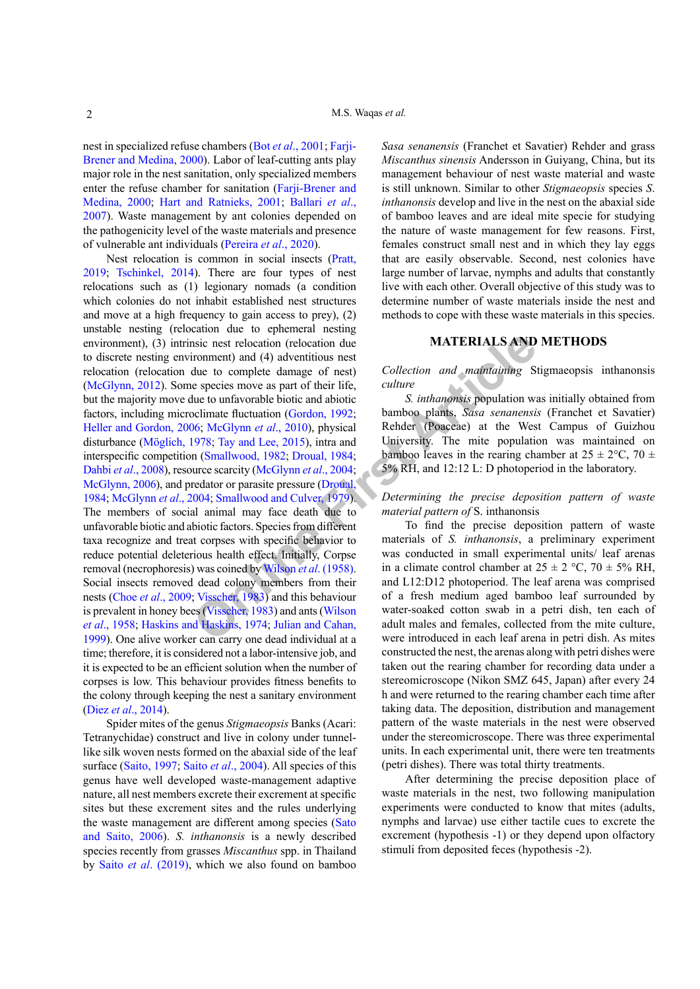nest in specialized refuse chambers (Bot *et al*[., 200](#page-5-1)1; [Farji-](#page-5-5)[Brener and Medina, 2000](#page-5-5)). Labor of leaf-cutting ants play major role in the nest sanitation, only specialized members enter the refuse chamber for sanitation ([Farji-Brener and](#page-5-5) [Medina, 2000](#page-5-5); [Hart and Ratnieks, 2001](#page-5-6); [Ballari](#page-5-7) *et al*., [2007\)](#page-5-7). Waste management by ant colonies depended on the pathogenicity level of the waste materials and presence of vulnerable ant individuals [\(Pereira](#page-6-7) *et al*., 2020).

**EXERIALS AND**<br>
Sistemative that the complete damage of nest)<br>
(collection and mathra[in](#page-7-5)ing Sistems the to complete damage of nest)<br>
Collection and mathraining Sistems to the confluence of the[ir](#page-5-10) life,<br>
Collection and mathra Nest relocation is common in social insects [\(Pratt,](#page-6-8) [2019](#page-6-8); [Tschinkel, 2014](#page-7-4)). There are four types of nest relocations such as (1) legionary nomads (a condition which colonies do not inhabit established nest structures and move at a high frequency to gain access to prey), (2) unstable nesting (relocation due to ephemeral nesting environment), (3) intrinsic nest relocation (relocation due to discrete nesting environment) and (4) adventitious nest relocation (relocation due to complete damage of nest) [\(McGlynn, 2012\)](#page-6-9). Some species move as part of their life, but the majority move due to unfavorable biotic and abiotic factors, including microclimate fluctuation (Gordon, 1992; [Heller and Gordon, 2006](#page-5-9); McGlynn *et al*., 2010), physical disturbance (Möglich, 1978; Tay and Lee, 2015), intra and interspecific competition (Smallwood, 1982; Droual, 1984; Dahbi *et al*., 2008), resource scarcity (McGlynn *et al*., 2004; [McGlynn, 2006\)](#page-6-14), and predator or parasite pressure (Droual, [1984](#page-5-10); [McGlynn](#page-6-13) *et al*., 2004; Smallwood and Culver, 1979). The members of social animal may face death due to unfavorable biotic and abiotic factors. Species from different taxa recognize and treat corpses with specific behavior to reduce potential deleterious health effect. Initially, Corpse removal (necrophoresis) was coined by Wilson *et al*. (1958). Social insects removed dead colony members from their nests (Choe *et al*[., 2009;](#page-5-11) Visscher, 1983) and this behaviour is prevalent in honey bees (Visscher, 1983) and ants (Wilson *et al*[., 1958](#page-7-5); [Haskins and Haskins, 1974](#page-5-12); Julian and Cahan, [1999](#page-5-13)). One alive worker can carry one dead individual at a time; therefore, it is considered not a labor-intensive job, and it is expected to be an efficient solution when the number of corpses is low. This behaviour provides fitness benefits to the colony through keeping the nest a sanitary environment (Diez *et al*[., 2014\)](#page-5-14).

Spider mites of the genus *Stigmaeopsis* Banks (Acari: Tetranychidae) construct and live in colony under tunnellike silk woven nests formed on the abaxial side of the leaf surface [\(Saito, 1997;](#page-6-16) Saito *et al*[., 2004\)](#page-6-17). All species of this genus have well developed waste-management adaptive nature, all nest members excrete their excrement at specific sites but these excrement sites and the rules underlying the waste management are different among species [\(Sato](#page-6-6) [and Saito, 2006\)](#page-6-6). *S. inthanonsis* is a newly described species recently from grasses *Miscanthus* spp. in Thailand by Saito *et al*[. \(2019\)](#page-6-18), which we also found on bamboo *Sasa senanensis* (Franchet et Savatier) Rehder and grass *Miscanthus sinensis* Andersson in Guiyang, China, but its management behaviour of nest waste material and waste is still unknown. Similar to other *Stigmaeopsis* species *S*. *inthanonsis* develop and live in the nest on the abaxial side of bamboo leaves and are ideal mite specie for studying the nature of waste management for few reasons. First, females construct small nest and in which they lay eggs that are easily observable. Second, nest colonies have large number of larvae, nymphs and adults that constantly live with each other. Overall objective of this study was to determine number of waste materials inside the nest and methods to cope with these waste materials in this species.

## **MATERIALS AND METHODS**

*Collection and maintaining* Stigmaeopsis inthanonsis *culture*

*S. inthanonsis* population was initially obtained from bamboo plants, *Sasa senanensis* (Franchet et Savatier) Rehder (Poaceae) at the West Campus of Guizhou University. The mite population was maintained on bamboo leaves in the rearing chamber at  $25 \pm 2$ °C, 70  $\pm$ 5% RH, and 12:12 L: D photoperiod in the laboratory.

*Determining the precise deposition pattern of waste material pattern of* S. inthanonsis

To find the precise deposition pattern of waste materials of *S. inthanonsis*, a preliminary experiment was conducted in small experimental units/ leaf arenas in a climate control chamber at  $25 \pm 2$  °C,  $70 \pm 5\%$  RH, and L12:D12 photoperiod. The leaf arena was comprised of a fresh medium aged bamboo leaf surrounded by water-soaked cotton swab in a petri dish, ten each of adult males and females, collected from the mite culture, were introduced in each leaf arena in petri dish. As mites constructed the nest, the arenas along with petri dishes were taken out the rearing chamber for recording data under a stereomicroscope (Nikon SMZ 645, Japan) after every 24 h and were returned to the rearing chamber each time after taking data. The deposition, distribution and management pattern of the waste materials in the nest were observed under the stereomicroscope. There was three experimental units. In each experimental unit, there were ten treatments (petri dishes). There was total thirty treatments.

After determining the precise deposition place of waste materials in the nest, two following manipulation experiments were conducted to know that mites (adults, nymphs and larvae) use either tactile cues to excrete the excrement (hypothesis -1) or they depend upon olfactory stimuli from deposited feces (hypothesis -2).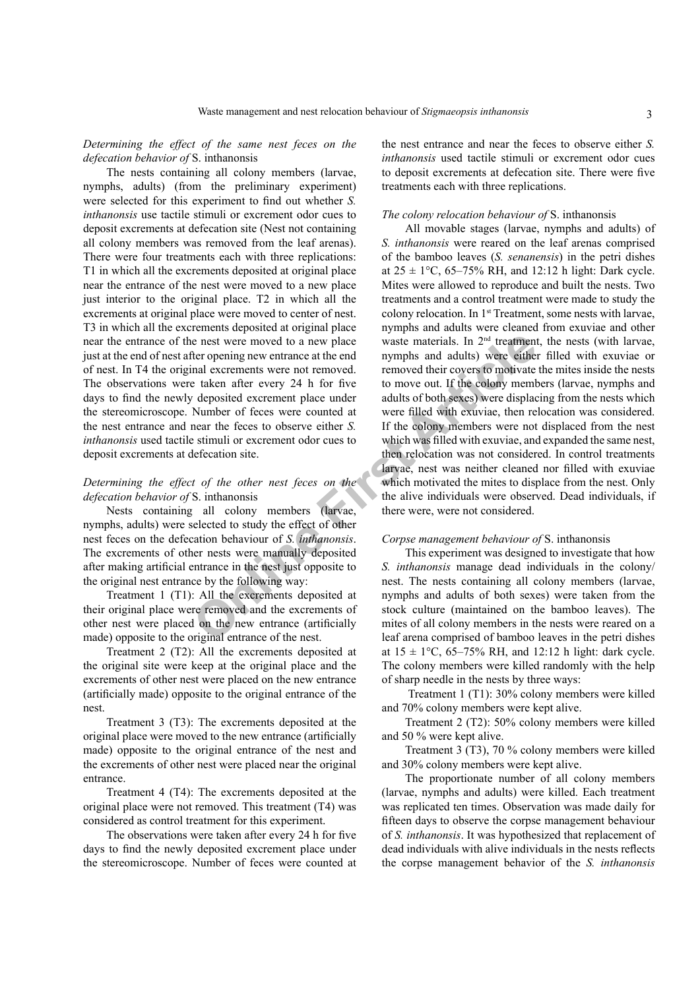*Determining the effect of the same nest feces on the defecation behavior of* S. inthanonsis

The nests containing all colony members (larvae, nymphs, adults) (from the preliminary experiment) were selected for this experiment to find out whether *S. inthanonsis* use tactile stimuli or excrement odor cues to deposit excrements at defecation site (Nest not containing all colony members was removed from the leaf arenas). There were four treatments each with three replications: T1 in which all the excrements deposited at original place near the entrance of the nest were moved to a new place just interior to the original place. T2 in which all the excrements at original place were moved to center of nest. T3 in which all the excrements deposited at original place near the entrance of the nest were moved to a new place just at the end of nest after opening new entrance at the end of nest. In T4 the original excrements were not removed. The observations were taken after every 24 h for five days to find the newly deposited excrement place under the stereomicroscope. Number of feces were counted at the nest entrance and near the feces to observe either *S. inthanonsis* used tactile stimuli or excrement odor cues to deposit excrements at defecation site.

# *Determining the effect of the other nest feces on the defecation behavior of* S. inthanonsis

Nests containing all colony members (larvae, nymphs, adults) were selected to study the effect of other nest feces on the defecation behaviour of *S. inthanonsis*. The excrements of other nests were manually deposited after making artificial entrance in the nest just opposite to the original nest entrance by the following way:

Treatment 1 (T1): All the excrements deposited at their original place were removed and the excrements of other nest were placed on the new entrance (artificially made) opposite to the original entrance of the nest.

Treatment 2 (T2): All the excrements deposited at the original site were keep at the original place and the excrements of other nest were placed on the new entrance (artificially made) opposite to the original entrance of the nest.

Treatment 3 (T3): The excrements deposited at the original place were moved to the new entrance (artificially made) opposite to the original entrance of the nest and the excrements of other nest were placed near the original entrance.

Treatment 4 (T4): The excrements deposited at the original place were not removed. This treatment (T4) was considered as control treatment for this experiment.

The observations were taken after every 24 h for five days to find the newly deposited excrement place under the stereomicroscope. Number of feces were counted at the nest entrance and near the feces to observe either *S. inthanonsis* used tactile stimuli or excrement odor cues to deposit excrements at defecation site. There were five treatments each with three replications.

#### *The colony relocation behaviour of* S. inthanonsis

e nest were moved to a new place<br>
e nest were moved to a new place<br>
e taken after opening new entrance at the end<br>
mymphs and adults) were either<br>
eithen<br>
article taken after every 24 h for five to move out. If the colony All movable stages (larvae, nymphs and adults) of *S. inthanonsis* were reared on the leaf arenas comprised of the bamboo leaves (*S. senanensis*) in the petri dishes at  $25 \pm 1$ °C, 65–75% RH, and 12:12 h light: Dark cycle. Mites were allowed to reproduce and built the nests. Two treatments and a control treatment were made to study the colony relocation. In 1st Treatment, some nests with larvae, nymphs and adults were cleaned from exuviae and other waste materials. In  $2<sup>nd</sup>$  treatment, the nests (with larvae, nymphs and adults) were either filled with exuviae or removed their covers to motivate the mites inside the nests to move out. If the colony members (larvae, nymphs and adults of both sexes) were displacing from the nests which were filled with exuviae, then relocation was considered. If the colony members were not displaced from the nest which was filled with exuviae, and expanded the same nest, then relocation was not considered. In control treatments larvae, nest was neither cleaned nor filled with exuviae which motivated the mites to displace from the nest. Only the alive individuals were observed. Dead individuals, if there were, were not considered.

#### *Corpse management behaviour of* S. inthanonsis

This experiment was designed to investigate that how *S. inthanonsis* manage dead individuals in the colony/ nest. The nests containing all colony members (larvae, nymphs and adults of both sexes) were taken from the stock culture (maintained on the bamboo leaves). The mites of all colony members in the nests were reared on a leaf arena comprised of bamboo leaves in the petri dishes at  $15 \pm 1$ °C, 65–75% RH, and 12:12 h light: dark cycle. The colony members were killed randomly with the help of sharp needle in the nests by three ways:

 Treatment 1 (T1): 30% colony members were killed and 70% colony members were kept alive.

Treatment 2 (T2): 50% colony members were killed and 50 % were kept alive.

Treatment 3 (T3), 70 % colony members were killed and 30% colony members were kept alive.

The proportionate number of all colony members (larvae, nymphs and adults) were killed. Each treatment was replicated ten times. Observation was made daily for fifteen days to observe the corpse management behaviour of *S. inthanonsis*. It was hypothesized that replacement of dead individuals with alive individuals in the nests reflects the corpse management behavior of the *S. inthanonsis*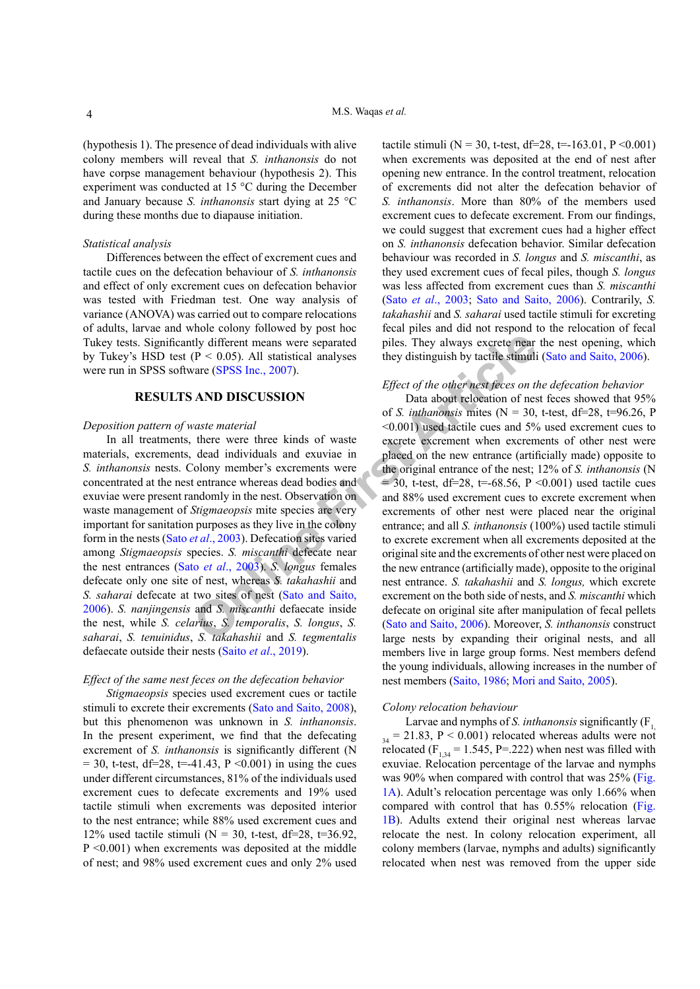(hypothesis 1). The presence of dead individuals with alive colony members will reveal that *S. inthanonsis* do not have corpse management behaviour (hypothesis 2). This experiment was conducted at 15 °C during the December and January because *S. inthanonsis* start dying at 25 °C during these months due to diapause initiation.

### *Statistical analysis*

Differences between the effect of excrement cues and tactile cues on the defecation behaviour of *S. inthanonsis* and effect of only excrement cues on defecation behavior was tested with Friedman test. One way analysis of variance (ANOVA) was carried out to compare relocations of adults, larvae and whole colony followed by post hoc Tukey tests. Significantly different means were separated by Tukey's HSD test  $(P < 0.05)$ . All statistical analyses were run in SPSS software (SPSS Inc., 2007).

### **RESULTS AND DISCUSSION**

#### *Deposition pattern of waste material*

In all treatments, there were three kinds of waste materials, excrements, dead individuals and exuviae in *S. inthanonsis* nests. Colony member's excrements were concentrated at the nest entrance whereas dead bodies and exuviae were present randomly in the nest. Observation on waste management of *Stigmaeopsis* mite species are very important for sanitation purposes as they live in the colony form in the nests (Sato *et al*., 2003). Defecation sites varied among *Stigmaeopsis* species. *S. miscanthi* defecate near the nest entrances (Sato *et al*., 2003). *S. longus* females defecate only one site of nest, whereas *S. takahashii* and *S. saharai* defecate at two sites of nest (Sato and Saito, [2006\)](#page-6-6). *S. nanjingensis* and *S. miscanthi* defaecate inside the nest, while *S. celarius*, *S. temporalis*, *S. longus*, *S. saharai*, *S. tenuinidus*, *S. takahashii* and *S. tegmentalis* defaecate outside their nests (Saito *et al*[., 2019](#page-6-18)).

#### *Effect of the same nest feces on the defecation behavior*

*Stigmaeopsis* species used excrement cues or tactile stimuli to excrete their excrements ([Sato and Saito, 2008\)](#page-6-19), but this phenomenon was unknown in *S. inthanonsis*. In the present experiment, we find that the defecating excrement of *S. inthanonsis* is significantly different (N  $= 30$ , t-test, df=28, t=-41.43, P < 0.001) in using the cues under different circumstances, 81% of the individuals used excrement cues to defecate excrements and 19% used tactile stimuli when excrements was deposited interior to the nest entrance; while 88% used excrement cues and 12% used tactile stimuli ( $N = 30$ , t-test, df=28, t=36.92,  $P \leq 0.001$ ) when excrements was deposited at the middle of nest; and 98% used excrement cues and only 2% used

tactile stimuli ( $N = 30$ , t-test, df=28, t=-163.01, P < 0.001) when excrements was deposited at the end of nest after opening new entrance. In the control treatment, relocation of excrements did not alter the defecation behavior of *S. inthanonsis*. More than 80% of the members used excrement cues to defecate excrement. From our findings, we could suggest that excrement cues had a higher effect on *S. inthanonsis* defecation behavior. Similar defecation behaviour was recorded in *S. longus* and *S. miscanthi*, as they used excrement cues of fecal piles, though *S. longus* was less affected from excrement cues than *S. miscanthi* (Sato *et al*[., 2003;](#page-6-5) [Sato and Saito, 200](#page-6-6)6). Contrarily, *S. takahashii* and *S. saharai* used tactile stimuli for excreting fecal piles and did not respond to the relocation of fecal piles. They always excrete near the nest opening, which they distinguish by tactile stimuli [\(Sato and Saito, 200](#page-6-6)6).

# *Effect of the other nest feces on the defecation behavior*

**COLUMBER 11**<br>
(P < 0.05). All statistical analyses they distinguish by tactile stimu[li](#page-6-5)ar<br>
(P < 0.05). All statistical analyses they distinguish by tactile stimulation<br>
(P < 0.05). All statistical analyses they distinguis Data about relocation of nest feces showed that 95% of *S. inthanonsis* mites ( $N = 30$ , t-test, df=28, t=96.26, P <0.001) used tactile cues and 5% used excrement cues to excrete excrement when excrements of other nest were placed on the new entrance (artificially made) opposite to the original entrance of the nest; 12% of *S. inthanonsis* (N  $= 30$ , t-test, df=28, t=-68.56, P <0.001) used tactile cues and 88% used excrement cues to excrete excrement when excrements of other nest were placed near the original entrance; and all *S. inthanonsis* (100%) used tactile stimuli to excrete excrement when all excrements deposited at the original site and the excrements of other nest were placed on the new entrance (artificially made), opposite to the original nest entrance. *S. takahashii* and *S. longus,* which excrete excrement on the both side of nests, and *S. miscanthi* which defecate on original site after manipulation of fecal pellets (Sato and Saito, 2006). Moreover, *S. inthanonsis* construct large nests by expanding their original nests, and all members live in large group forms. Nest members defend the young individuals, allowing increases in the number of nest members (Saito, 1986; [Mori and Saito, 2005\)](#page-6-20).

#### *Colony relocation behaviour*

Larvae and nymphs of *S. inthanonsis* significantly (F<sub>1</sub>,  $_{34}$  = 21.83, P < 0.001) relocated whereas adults were not relocated ( $F<sub>1,34</sub> = 1.545$ , P=.222) when nest was filled with exuviae. Relocation percentage of the larvae and nymphs was 90% when compared with control that was 25% [\(Fig.](#page-4-0)  [1A](#page-4-0)). Adult's relocation percentage was only 1.66% when compared with control that has 0.55% relocation [\(Fig.](#page-4-0)  [1](#page-4-0)B). Adults extend their original nest whereas larvae relocate the nest. In colony relocation experiment, all colony members (larvae, nymphs and adults) significantly relocated when nest was removed from the upper side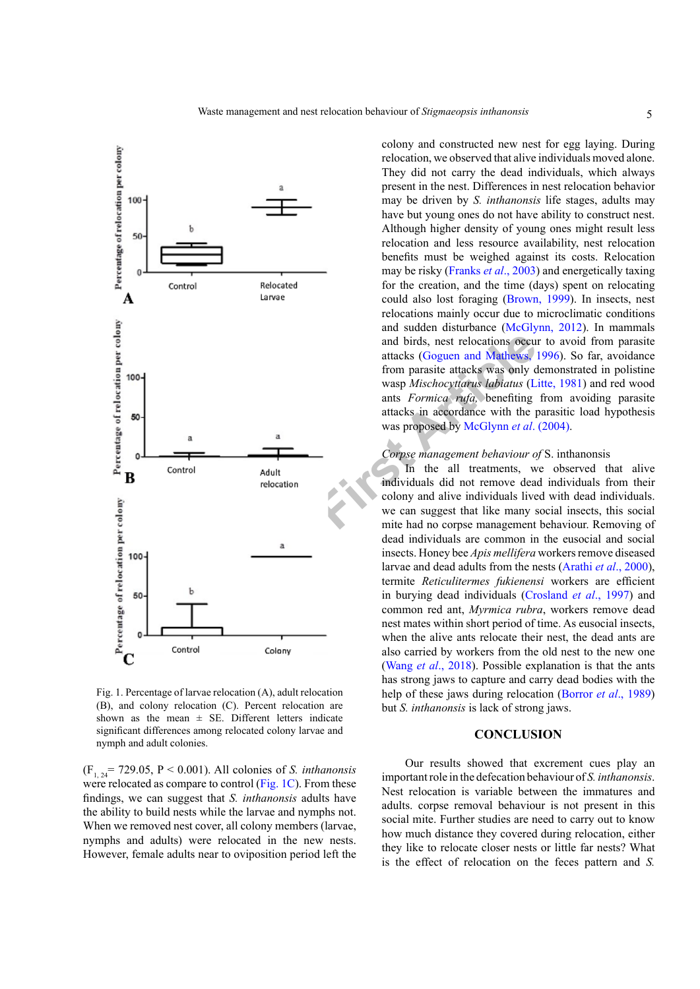

<span id="page-4-0"></span>Fig. 1. Percentage of larvae relocation (A), adult relocation (B), and colony relocation (C). Percent relocation are shown as the mean  $\pm$  SE. Different letters indicate significant differences among relocated colony larvae and nymph and adult colonies.

 $(F_{1, 24} = 729.05, P < 0.001)$ . All colonies of *S. inthanonsis* were relocated as compare to control [\(Fig. 1](#page-4-0)C). From these findings, we can suggest that *S. inthanonsis* adults have the ability to build nests while the larvae and nymphs not. When we removed nest cover, all colony members (larvae, nymphs and adults) were relocated in the new nests. However, female adults near to oviposition period left the

colony and constructed new nest for egg laying. During relocation, we observed that alive individuals moved alone. They did not carry the dead individuals, which always present in the nest. Differences in nest relocation behavior may be driven by *S. inthanonsis* life stages, adults may have but young ones do not have ability to construct nest. Although higher density of young ones might result less relocation and less resource availability, nest relocation benefits must be weighed against its costs. Relocation may be risky ([Franks](#page-5-15) *et al*., 2003) and energetically taxing for the creation, and the time (days) spent on relocating could also lost foraging [\(Brown, 1999\)](#page-5-16). In insects, nest relocations mainly occur due to microclimatic conditions and sudden disturbance [\(McGlynn, 2012](#page-6-9)). In mammals and birds, nest relocations occur to avoid from parasite attacks (Goguen and Mathews, 1996). So far, avoidance from parasite attacks was only demonstrated in polistine wasp *Mischocyttarus labiatus* [\(Litte, 1981\)](#page-6-21) and red wood ants *Formica rufa,* benefiting from avoiding parasite attacks in accordance with the parasitic load hypothesis was proposed by McGlynn *et al.* (2004).

### *Corpse management behaviour of* S. inthanonsis

In the all treatments, we observed that alive individuals did not remove dead individuals from their colony and alive individuals lived with dead individuals. we can suggest that like many social insects, this social mite had no corpse management behaviour. Removing of dead individuals are common in the eusocial and social insects. Honey bee *Apis mellifera* workers remove diseased larvae and dead adults from the nests [\(Arathi](#page-5-18) *et al*., 2000), termite *Reticulitermes fukienensi* workers are efficient in burying dead individuals ([Crosland](#page-5-19) *et al*., 1997) and common red ant, *Myrmica rubra*, workers remove dead nest mates within short period of time. As eusocial insects, when the alive ants relocate their nest, the dead ants are also carried by workers from the old nest to the new one (Wang *et al*[., 2018](#page-7-6)). Possible explanation is that the ants has strong jaws to capture and carry dead bodies with the help of these jaws during relocation ([Borror](#page-5-20) *et al*., 1989) but *S. inthanonsis* is lack of strong jaws.

# **CONCLUSION**

Our results showed that excrement cues play an important role in the defecation behaviour of *S. inthanonsis*. Nest relocation is variable between the immatures and adults. corpse removal behaviour is not present in this social mite. Further studies are need to carry out to know how much distance they covered during relocation, either they like to relocate closer nests or little far nests? What is the effect of relocation on the feces pattern and *S.*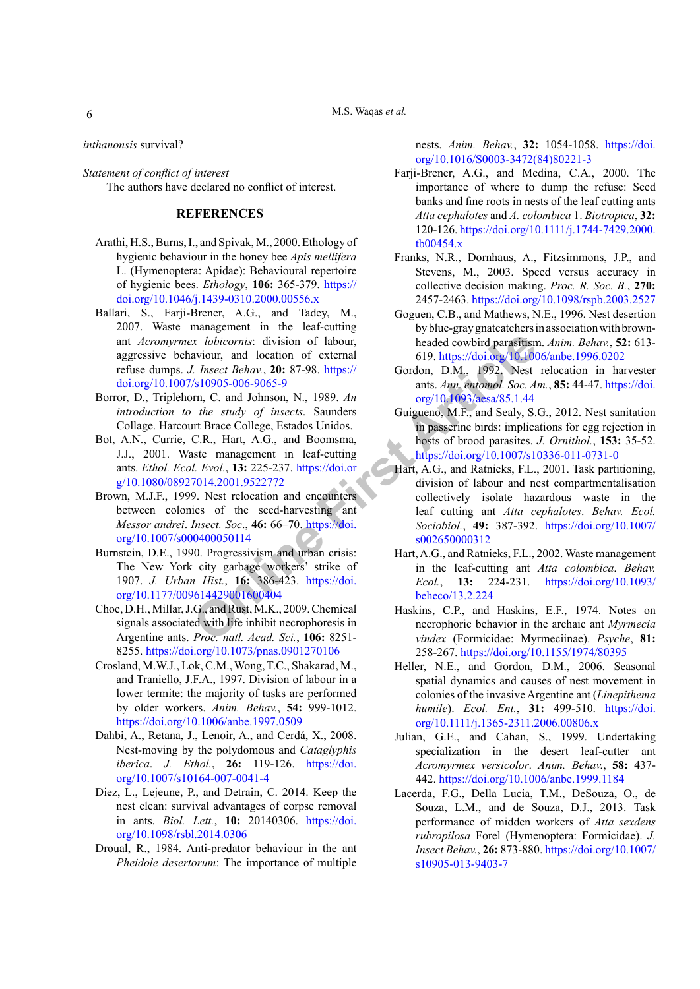M.S. Waqas *et al.*

*inthanonsis* survival?

*Statement of conflict of interest* The authors have declared no conflict of interest.

# **REFERENCES**

- <span id="page-5-18"></span>Arathi, H.S., Burns, I., and Spivak, M., 2000. Ethology of hygienic behaviour in the honey bee *Apis mellifera* L. (Hymenoptera: Apidae): Behavioural repertoire of hygienic bees. *Ethology*, **106:** 365-379. [https://](https://doi.org/10.1046/j.1439-0310.2000.00556.x) [doi.org/10.1046/j.1439-0310.2000.00556.x](https://doi.org/10.1046/j.1439-0310.2000.00556.x)
- <span id="page-5-7"></span>Ballari, S., Farji-Brener, A.G., and Tadey, M., 2007. Waste management in the leaf-cutting ant *Acromyrmex lobicornis*: division of labour, aggressive behaviour, and location of external refuse dumps. *J. Insect Behav.*, **20:** 87-98. https:// [doi.org/10.1007/s10905-006-9065-9](https://doi.org/10.1007/s10905-006-9065-9)
- <span id="page-5-20"></span>Borror, D., Triplehorn, C. and Johnson, N., 1989. *An introduction to the study of insects*. Saunders Collage. Harcourt Brace College, Estados Unidos.
- <span id="page-5-1"></span>Bot, A.N., Currie, C.R., Hart, A.G., and Boomsma, J.J., 2001. Waste management in leaf-cutting ants. *Ethol. Ecol. Evol.*, **13:** 225-237. https://doi.or [g/10.1080/08927014.2001.9522772](https://doi.org/10.1080/08927014.2001.9522772)
- <span id="page-5-16"></span>Brown, M.J.F., 1999. Nest relocation and encounters between colonies of the seed-harvesting ant *Messor andrei*. *Insect. Soc*., **46:** 66–70. https://doi. [org/10.1007/s000400050114](https://doi.org/10.1007/s000400050114)
- <span id="page-5-2"></span>Burnstein, D.E., 1990. Progressivism and urban crisis: The New York city garbage workers' strike of 1907. *J. Urban Hist.*, **16:** 386-423. https://doi. [org/10.1177/009614429001600404](https://doi.org/10.1177/009614429001600404)
- <span id="page-5-11"></span>Choe, D.H., Millar, J.G., and Rust, M.K., 2009. Chemical signals associated with life inhibit necrophoresis in Argentine ants. *Proc. natl. Acad. Sci.*, **106:** 8251- 8255.<https://doi.org/10.1073/pnas.0901270106>
- <span id="page-5-19"></span>Crosland, M.W.J., Lok, C.M., Wong, T.C., Shakarad, M., and Traniello, J.F.A., 1997. Division of labour in a lower termite: the majority of tasks are performed by older workers. *Anim. Behav.*, **54:** 999-1012. <https://doi.org/10.1006/anbe.1997.0509>
- <span id="page-5-13"></span>Dahbi, A., Retana, J., Lenoir, A., and Cerdá, X., 2008. Nest-moving by the polydomous and *Cataglyphis iberica*. *J. Ethol.*, **26:** 119-126. [https://doi.](https://doi.org/10.1007/s10164-007-0041-4) [org/10.1007/s10164-007-0041-4](https://doi.org/10.1007/s10164-007-0041-4)
- <span id="page-5-14"></span><span id="page-5-4"></span>Diez, L., Lejeune, P., and Detrain, C. 2014. Keep the nest clean: survival advantages of corpse removal in ants. *Biol. Lett.*, **10:** 20140306. [https://doi.](https://doi.org/10.1098/rsbl.2014.0306) [org/10.1098/rsbl.2014.0306](https://doi.org/10.1098/rsbl.2014.0306)
- <span id="page-5-10"></span>Droual, R., 1984. Anti-predator behaviour in the ant *Pheidole desertorum*: The importance of multiple

nests. *Anim. Behav.*, **32:** 1054-1058. [https://doi.](https://doi.org/10.1016/S0003-3472(84)80221-3) [org/10.1016/S0003-3472\(84\)80221-3](https://doi.org/10.1016/S0003-3472(84)80221-3)

- <span id="page-5-5"></span>Farji-Brener, A.G., and Medina, C.A., 2000. The importance of where to dump the refuse: Seed banks and fine roots in nests of the leaf cutting ants *Atta cephalotes* and *A. colombica* 1. *Biotropica*, **32:** 120-126. [https://doi.org/10.1111/j.1744-7429.2000.](https://doi.org/10.1111/j.1744-7429.2000.tb00454.x) [tb00454.x](https://doi.org/10.1111/j.1744-7429.2000.tb00454.x)
- <span id="page-5-15"></span>Franks, N.R., Dornhaus, A., Fitzsimmons, J.P., and Stevens, M., 2003. Speed versus accuracy in collective decision making. *Proc. R. Soc. B.*, **270:** 2457-2463.<https://doi.org/10.1098/rspb.2003.2527>
- <span id="page-5-17"></span>Goguen, C.B., and Mathews, N.E., 1996. Nest desertion by blue-gray gnatcatchers in association with brownheaded cowbird parasitism. *Anim. Behav.*, **52:** 613- 619.<https://doi.org/10.1006/anbe.1996.0202>
- <span id="page-5-8"></span>Gordon, D.M., 1992. Nest relocation in harvester ants. *Ann. entomol. Soc. Am.*, **85:** 44-47. [https://doi.](https://doi.org/10.1093/aesa/85.1.44) org/10.1093/aesa/85.1.44
- <span id="page-5-12"></span><span id="page-5-9"></span><span id="page-5-6"></span><span id="page-5-3"></span><span id="page-5-0"></span>Guigueno, M.F., and Sealy, S.G., 2012. Nest sanitation in passerine birds: implications for egg rejection in hosts of brood parasites. *J. Ornithol.*, **153:** 35-52. <https://doi.org/10.1007/s10336-011-0731-0>
- X lobico[r](https://doi.org/10.1080/08927014.2001.9522772)nis: division of labour,<br>
A location of external<br>
A l. Insect Behav, 20: 87-98. https://<br>
(Sordon, D.M., 1992, Nest<br>
(Sordon, D.M., 1992, Nest<br>
(Sordon, D.M., 1992, Nest<br>
(Sordon, D.M., 1992, Nest<br>
(Sordon, D.M., Hart, A.G., and Ratnieks, F.L., 2001. Task partitioning, division of labour and nest compartmentalisation collectively isolate hazardous waste in the leaf cutting ant *Atta cephalotes*. *Behav. Ecol. Sociobiol.*, **49:** 387-392. [https://doi.org/10.1007/](https://doi.org/10.1007/s002650000312) s002650000312
	- Hart, A.G., and Ratnieks, F.L., 2002. Waste management in the leaf-cutting ant *Atta colombica*. *Behav. Ecol.*, **13:** 224-231. [https://doi.org/10.1093/](https://doi.org/10.1093/beheco/13.2.224) beheco/13.2.224
	- Haskins, C.P., and Haskins, E.F., 1974. Notes on necrophoric behavior in the archaic ant *Myrmecia vindex* (Formicidae: Myrmeciinae). *Psyche*, **81:**  258-267. <https://doi.org/10.1155/1974/80395>
	- Heller, N.E., and Gordon, D.M., 2006. Seasonal spatial dynamics and causes of nest movement in colonies of the invasive Argentine ant (*Linepithema humile*). *Ecol. Ent.*, **31:** 499-510. [https://doi.](https://doi.org/10.1111/j.1365-2311.2006.00806.x) [org/10.1111/j.1365-2311.2006.00806.x](https://doi.org/10.1111/j.1365-2311.2006.00806.x)
	- Julian, G.E., and Cahan, S., 1999. Undertaking specialization in the desert leaf-cutter ant *Acromyrmex versicolor*. *Anim. Behav.*, **58:** 437- 442.<https://doi.org/10.1006/anbe.1999.1184>
	- Lacerda, F.G., Della Lucia, T.M., DeSouza, O., de Souza, L.M., and de Souza, D.J., 2013. Task performance of midden workers of *Atta sexdens rubropilosa* Forel (Hymenoptera: Formicidae). *J. Insect Behav.*, **26:** 873-880. [https://doi.org/10.1007/](https://doi.org/10.1007/s10905-013-9403-7) [s10905-013-9403-7](https://doi.org/10.1007/s10905-013-9403-7)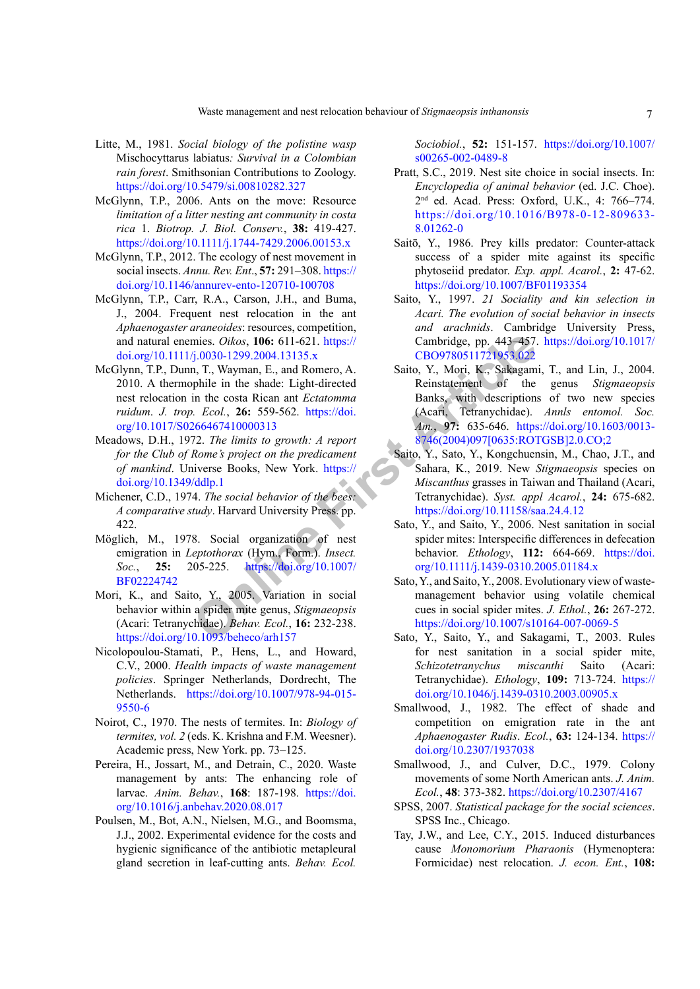- <span id="page-6-21"></span>Litte, M., 1981. *Social biology of the polistine wasp*  Mischocyttarus labiatus*: Survival in a Colombian rain forest*. Smithsonian Contributions to Zoology. <https://doi.org/10.5479/si.00810282.327>
- <span id="page-6-14"></span>McGlynn, T.P., 2006. Ants on the move: Resource *limitation of a litter nesting ant community in costa rica* 1. *Biotrop. J. Biol. Conserv.*, **38:** 419-427. <https://doi.org/10.1111/j.1744-7429.2006.00153.x>
- <span id="page-6-9"></span>McGlynn, T.P., 2012. The ecology of nest movement in social insects. *Annu. Rev. Ent*., **57:** 291–308. [https://](https://doi.org/10.1146/annurev-ento-120710-100708) [doi.org/10.1146/annurev-ento-120710-100708](https://doi.org/10.1146/annurev-ento-120710-100708)
- <span id="page-6-13"></span>McGlynn, T.P., Carr, R.A., Carson, J.H., and Buma, J., 2004. Frequent nest relocation in the ant *Aphaenogaster araneoides*: resources, competition, and natural enemies. *Oikos*, **106:** 611-621. https:// [doi.org/10.1111/j.0030-1299.2004.13135.x](https://doi.org/10.1111/j.0030-1299.2004.13135.x)
- <span id="page-6-10"></span>McGlynn, T.P., Dunn, T., Wayman, E., and Romero, A. 2010. A thermophile in the shade: Light-directed nest relocation in the costa Rican ant *Ectatomma ruidum*. *J. trop. Ecol.*, **26:** 559-562. https://doi. [org/10.1017/S0266467410000313](https://doi.org/10.1017/S0266467410000313)
- <span id="page-6-0"></span>Meadows, D.H., 1972. *The limits to growth: A report for the Club of Rome's project on the predicament of mankind*. Universe Books, New York. https:// [doi.org/10.1349/ddlp.1](https://doi.org/10.1349/ddlp.1)
- <span id="page-6-4"></span>Michener, C.D., 1974. *The social behavior of the bees: A comparative study*. Harvard University Press. pp. 422.
- Möglich, M., 1978. Social organization of nest emigration in *Leptothorax* (Hym., Form.). *Insect. Soc.*, **25:** 205-225. https://doi.org/10.1007/ [BF02224742](https://doi.org/10.1007/BF02224742)
- <span id="page-6-20"></span>Mori, K., and Saito, Y., 2005. Variation in social behavior within a spider mite genus, *Stigmaeopsis* (Acari: Tetranychidae). *Behav. Ecol.*, **16:** 232-238. <https://doi.org/10.1093/beheco/arh157>
- <span id="page-6-5"></span><span id="page-6-1"></span>Nicolopoulou-Stamati, P., Hens, L., and Howard, C.V., 2000. *Health impacts of waste management policies*. Springer Netherlands, Dordrecht, The Netherlands. [https://doi.org/10.1007/978-94-015-](https://doi.org/10.1007/978-94-015-9550-6) [9550-6](https://doi.org/10.1007/978-94-015-9550-6)
- <span id="page-6-12"></span><span id="page-6-2"></span>Noirot, C., 1970. The nests of termites. In: *Biology of termites, vol. 2* (eds. K. Krishna and F.M. Weesner). Academic press, New York. pp. 73–125.
- <span id="page-6-15"></span><span id="page-6-7"></span>Pereira, H., Jossart, M., and Detrain, C., 2020. Waste management by ants: The enhancing role of larvae. *Anim. Behav.*, **168**: 187-198. [https://doi.](https://doi.org/10.1016/j.anbehav.2020.08.017) [org/10.1016/j.anbehav.2020.08.017](https://doi.org/10.1016/j.anbehav.2020.08.017)
- <span id="page-6-11"></span><span id="page-6-3"></span>Poulsen, M., Bot, A.N., Nielsen, M.G., and Boomsma, J.J., 2002. Experimental evidence for the costs and hygienic significance of the antibiotic metapleural gland secretion in leaf-cutting ants. *Behav. Ecol.*

*Sociobiol.*, **52:** 151-157. [https://doi.org/10.1007/](https://doi.org/10.1007/s00265-002-0489-8) [s00265-002-0489-8](https://doi.org/10.1007/s00265-002-0489-8)

- <span id="page-6-8"></span>Pratt, S.C., 2019. Nest site choice in social insects. In: *Encyclopedia of animal behavior* (ed. J.C. Choe). 2nd ed. Acad. Press: Oxford, U.K., 4: 766–774. [https://doi.org/10.1016/B978-0-12-809633-](https://doi.org/10.1016/B978-0-12-809633-8.01262-0) [8.01262-0](https://doi.org/10.1016/B978-0-12-809633-8.01262-0)
- Saitō, Y., 1986. Prey kills predator: Counter-attack success of a spider mite against its specific phytoseiid predator. *Exp. appl. Acarol.*, **2:** 47-62. <https://doi.org/10.1007/BF01193354>
- <span id="page-6-19"></span><span id="page-6-18"></span><span id="page-6-17"></span><span id="page-6-16"></span><span id="page-6-6"></span>Saito, Y., 1997. *21 Sociality and kin selection in Acari. The evolution of social behavior in insects and arachnids*. Cambridge University Press, Cambridge, pp. 443–457. [https://doi.org/10.1017/](https://doi.org/10.1017/CBO9780511721953.022) CBO9780511721953.022
- mies. *Oikos*, **106:** 611-621. https://<b[r](https://doi.org/10.1349/ddlp.1)>
(ambridge, pp. 443-457.<br>
(3.0030-1299.2004.13135.x CBO9780511721953.022<br>
n, T., Wayman, E., and Romero, A.<br>
Saito, Y., Mori, K., Sakagam<br>
in the costa Rican ant *Ectatomna*<br>
in the Saito, Y., Mori, K., Sakagami, T., and Lin, J., 2004. Reinstatement of the genus *Stigmaeopsis*  Banks, with descriptions of two new species (Acari, Tetranychidae). *Annls entomol. Soc. Am.*, **97:** 635-646. [https://doi.org/10.1603/0013-](https://doi.org/10.1603/0013-8746(2004)097%5b0635:ROTGSB%5d2.0.CO;2) [8746\(2004\)097\[0635:ROTGSB\]2.0.CO;2](https://doi.org/10.1603/0013-8746(2004)097%5b0635:ROTGSB%5d2.0.CO;2)
	- Saito, Y., Sato, Y., Kongchuensin, M., Chao, J.T., and Sahara, K., 2019. New *Stigmaeopsis* species on *Miscanthus* grasses in Taiwan and Thailand (Acari, Tetranychidae). *Syst. appl Acarol.*, **24:** 675-682. <https://doi.org/10.11158/saa.24.4.12>
	- Sato, Y., and Saito, Y., 2006. Nest sanitation in social spider mites: Interspecific differences in defecation behavior. *Ethology*, **112:** 664-669. [https://doi.](https://doi.org/10.1111/j.1439-0310.2005.01184.x) [org/10.1111/j.1439-0310.2005.01184.x](https://doi.org/10.1111/j.1439-0310.2005.01184.x)
	- Sato, Y., and Saito, Y., 2008. Evolutionary view of wastemanagement behavior using volatile chemical cues in social spider mites. *J. Ethol.*, **26:** 267-272. <https://doi.org/10.1007/s10164-007-0069-5>
	- Sato, Y., Saito, Y., and Sakagami, T., 2003. Rules for nest sanitation in a social spider mite, *Schizotetranychus miscanthi* Saito (Acari: Tetranychidae). *Ethology*, **109:** 713-724. [https://](https://doi.org/10.1046/j.1439-0310.2003.00905.x) [doi.org/10.1046/j.1439-0310.2003.00905.x](https://doi.org/10.1046/j.1439-0310.2003.00905.x)
	- Smallwood, J., 1982. The effect of shade and competition on emigration rate in the ant *Aphaenogaster Rudis*. *Ecol.*, **63:** 124-134. [https://](https://doi.org/10.2307/1937038) [doi.org/10.2307/1937038](https://doi.org/10.2307/1937038)
	- Smallwood, J., and Culver, D.C., 1979. Colony movements of some North American ants. *J. Anim. Ecol.*, **48**: 373-382. <https://doi.org/10.2307/4167>
	- SPSS, 2007. *Statistical package for the social sciences*. SPSS Inc., Chicago.
	- Tay, J.W., and Lee, C.Y., 2015. Induced disturbances cause *Monomorium Pharaonis* (Hymenoptera: Formicidae) nest relocation. *J. econ. Ent.*, **108:**